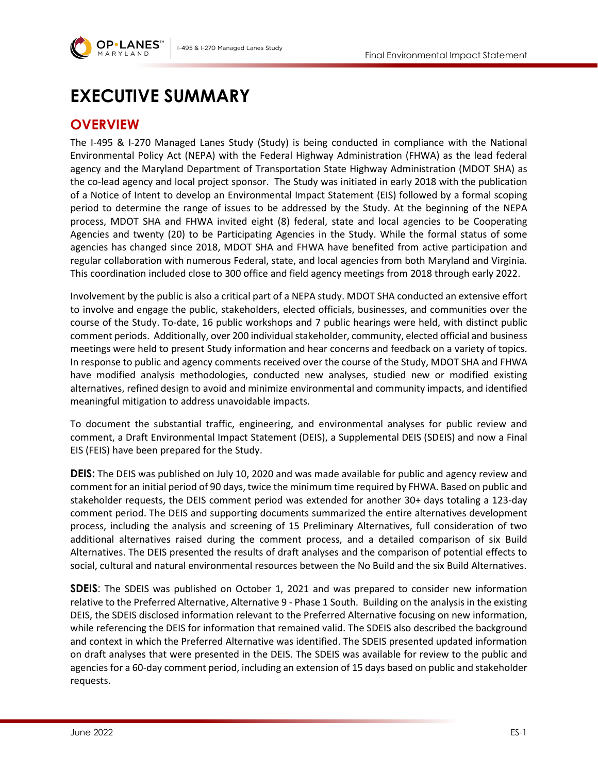

# **EXECUTIVE SUMMARY**

# **OVERVIEW**

The I-495 & I-270 Managed Lanes Study (Study) is being conducted in compliance with the National Environmental Policy Act (NEPA) with the Federal Highway Administration (FHWA) as the lead federal agency and the Maryland Department of Transportation State Highway Administration (MDOT SHA) as the co-lead agency and local project sponsor. The Study was initiated in early 2018 with the publication of a Notice of Intent to develop an Environmental Impact Statement (EIS) followed by a formal scoping period to determine the range of issues to be addressed by the Study. At the beginning of the NEPA process, MDOT SHA and FHWA invited eight (8) federal, state and local agencies to be Cooperating Agencies and twenty (20) to be Participating Agencies in the Study. While the formal status of some agencies has changed since 2018, MDOT SHA and FHWA have benefited from active participation and regular collaboration with numerous Federal, state, and local agencies from both Maryland and Virginia. This coordination included close to 300 office and field agency meetings from 2018 through early 2022.

Involvement by the public is also a critical part of a NEPA study. MDOT SHA conducted an extensive effort to involve and engage the public, stakeholders, elected officials, businesses, and communities over the course of the Study. To-date, 16 public workshops and 7 public hearings were held, with distinct public comment periods. Additionally, over 200 individual stakeholder, community, elected official and business meetings were held to present Study information and hear concerns and feedback on a variety of topics. In response to public and agency comments received over the course of the Study, MDOT SHA and FHWA have modified analysis methodologies, conducted new analyses, studied new or modified existing alternatives, refined design to avoid and minimize environmental and community impacts, and identified meaningful mitigation to address unavoidable impacts.

To document the substantial traffic, engineering, and environmental analyses for public review and comment, a Draft Environmental Impact Statement (DEIS), a Supplemental DEIS (SDEIS) and now a Final EIS (FEIS) have been prepared for the Study.

**DEIS:** The DEIS was published on July 10, 2020 and was made available for public and agency review and comment for an initial period of 90 days, twice the minimum time required by FHWA. Based on public and stakeholder requests, the DEIS comment period was extended for another 30+ days totaling a 123-day comment period. The DEIS and supporting documents summarized the entire alternatives development process, including the analysis and screening of 15 Preliminary Alternatives, full consideration of two additional alternatives raised during the comment process, and a detailed comparison of six Build Alternatives. The DEIS presented the results of draft analyses and the comparison of potential effects to social, cultural and natural environmental resources between the No Build and the six Build Alternatives.

**SDEIS**: The SDEIS was published on October 1, 2021 and was prepared to consider new information relative to the Preferred Alternative, Alternative 9 - Phase 1 South. Building on the analysis in the existing DEIS, the SDEIS disclosed information relevant to the Preferred Alternative focusing on new information, while referencing the DEIS for information that remained valid. The SDEIS also described the background and context in which the Preferred Alternative was identified. The SDEIS presented updated information on draft analyses that were presented in the DEIS. The SDEIS was available for review to the public and agencies for a 60-day comment period, including an extension of 15 days based on public and stakeholder requests.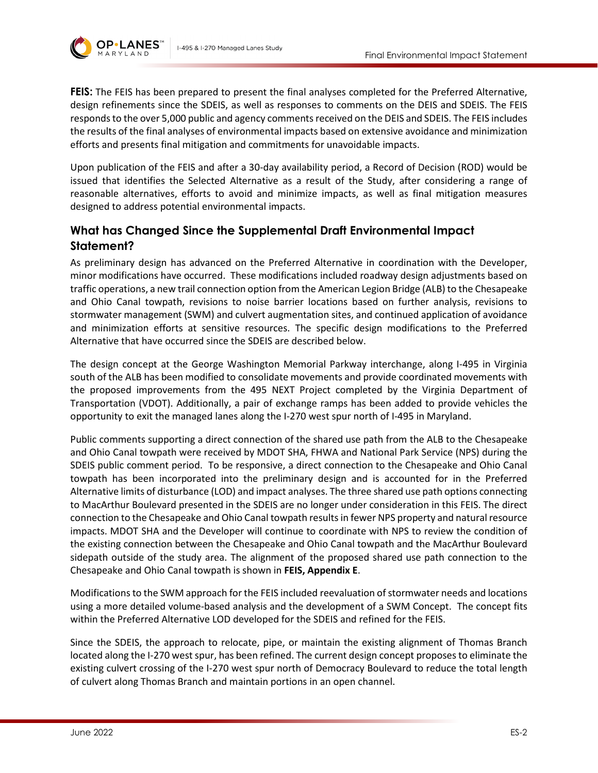



**FEIS:** The FEIS has been prepared to present the final analyses completed for the Preferred Alternative, design refinements since the SDEIS, as well as responses to comments on the DEIS and SDEIS. The FEIS responds to the over 5,000 public and agency comments received on the DEIS and SDEIS. The FEIS includes the results of the final analyses of environmental impacts based on extensive avoidance and minimization efforts and presents final mitigation and commitments for unavoidable impacts.

Upon publication of the FEIS and after a 30-day availability period, a Record of Decision (ROD) would be issued that identifies the Selected Alternative as a result of the Study, after considering a range of reasonable alternatives, efforts to avoid and minimize impacts, as well as final mitigation measures designed to address potential environmental impacts.

## **What has Changed Since the Supplemental Draft Environmental Impact Statement?**

As preliminary design has advanced on the Preferred Alternative in coordination with the Developer, minor modifications have occurred. These modifications included roadway design adjustments based on traffic operations, a new trail connection option from the American Legion Bridge (ALB) to the Chesapeake and Ohio Canal towpath, revisions to noise barrier locations based on further analysis, revisions to stormwater management (SWM) and culvert augmentation sites, and continued application of avoidance and minimization efforts at sensitive resources. The specific design modifications to the Preferred Alternative that have occurred since the SDEIS are described below.

The design concept at the George Washington Memorial Parkway interchange, along I-495 in Virginia south of the ALB has been modified to consolidate movements and provide coordinated movements with the proposed improvements from the 495 NEXT Project completed by the Virginia Department of Transportation (VDOT). Additionally, a pair of exchange ramps has been added to provide vehicles the opportunity to exit the managed lanes along the I-270 west spur north of I-495 in Maryland.

Public comments supporting a direct connection of the shared use path from the ALB to the Chesapeake and Ohio Canal towpath were received by MDOT SHA, FHWA and National Park Service (NPS) during the SDEIS public comment period. To be responsive, a direct connection to the Chesapeake and Ohio Canal towpath has been incorporated into the preliminary design and is accounted for in the Preferred Alternative limits of disturbance (LOD) and impact analyses. The three shared use path options connecting to MacArthur Boulevard presented in the SDEIS are no longer under consideration in this FEIS. The direct connection to the Chesapeake and Ohio Canal towpath results in fewer NPS property and natural resource impacts. MDOT SHA and the Developer will continue to coordinate with NPS to review the condition of the existing connection between the Chesapeake and Ohio Canal towpath and the MacArthur Boulevard sidepath outside of the study area. The alignment of the proposed shared use path connection to the Chesapeake and Ohio Canal towpath is shown in **FEIS, Appendix E**.

Modifications to the SWM approach for the FEIS included reevaluation of stormwater needs and locations using a more detailed volume-based analysis and the development of a SWM Concept. The concept fits within the Preferred Alternative LOD developed for the SDEIS and refined for the FEIS.

Since the SDEIS, the approach to relocate, pipe, or maintain the existing alignment of Thomas Branch located along the I-270 west spur, has been refined. The current design concept proposes to eliminate the existing culvert crossing of the I-270 west spur north of Democracy Boulevard to reduce the total length of culvert along Thomas Branch and maintain portions in an open channel.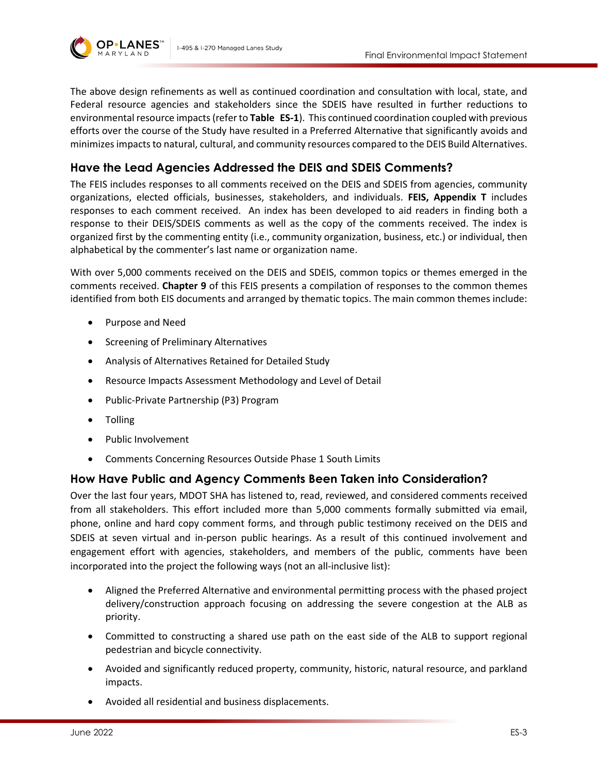



The above design refinements as well as continued coordination and consultation with local, state, and Federal resource agencies and stakeholders since the SDEIS have resulted in further reductions to environmental resource impacts(refer to **Table ES-1**). This continued coordination coupled with previous efforts over the course of the Study have resulted in a Preferred Alternative that significantly avoids and minimizes impacts to natural, cultural, and community resources compared to the DEIS Build Alternatives.

### **Have the Lead Agencies Addressed the DEIS and SDEIS Comments?**

The FEIS includes responses to all comments received on the DEIS and SDEIS from agencies, community organizations, elected officials, businesses, stakeholders, and individuals. **FEIS, Appendix T** includes responses to each comment received. An index has been developed to aid readers in finding both a response to their DEIS/SDEIS comments as well as the copy of the comments received. The index is organized first by the commenting entity (i.e., community organization, business, etc.) or individual, then alphabetical by the commenter's last name or organization name.

With over 5,000 comments received on the DEIS and SDEIS, common topics or themes emerged in the comments received. **Chapter 9** of this FEIS presents a compilation of responses to the common themes identified from both EIS documents and arranged by thematic topics. The main common themes include:

- Purpose and Need
- Screening of Preliminary Alternatives
- Analysis of Alternatives Retained for Detailed Study
- Resource Impacts Assessment Methodology and Level of Detail
- Public-Private Partnership (P3) Program
- Tolling
- Public Involvement
- Comments Concerning Resources Outside Phase 1 South Limits

### **How Have Public and Agency Comments Been Taken into Consideration?**

Over the last four years, MDOT SHA has listened to, read, reviewed, and considered comments received from all stakeholders. This effort included more than 5,000 comments formally submitted via email, phone, online and hard copy comment forms, and through public testimony received on the DEIS and SDEIS at seven virtual and in-person public hearings. As a result of this continued involvement and engagement effort with agencies, stakeholders, and members of the public, comments have been incorporated into the project the following ways (not an all-inclusive list):

- Aligned the Preferred Alternative and environmental permitting process with the phased project delivery/construction approach focusing on addressing the severe congestion at the ALB as priority.
- Committed to constructing a shared use path on the east side of the ALB to support regional pedestrian and bicycle connectivity.
- Avoided and significantly reduced property, community, historic, natural resource, and parkland impacts.
- Avoided all residential and business displacements.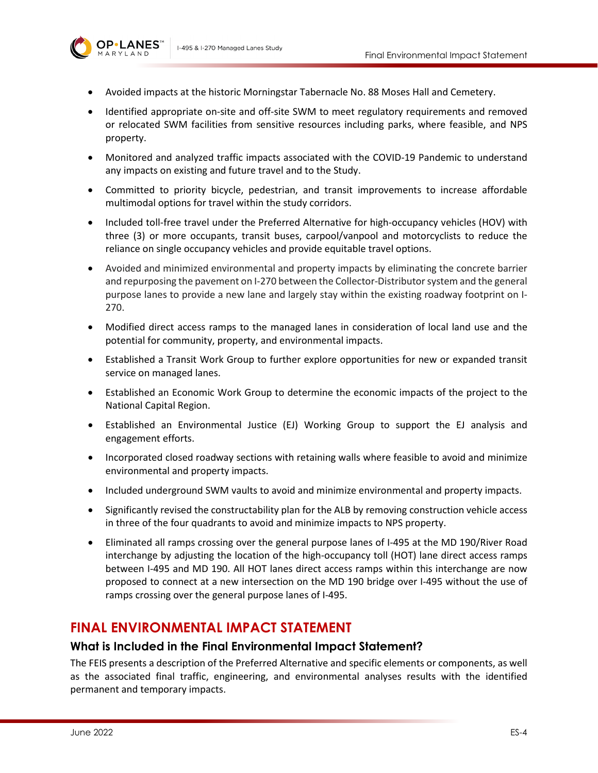

- Avoided impacts at the historic Morningstar Tabernacle No. 88 Moses Hall and Cemetery.
- Identified appropriate on-site and off-site SWM to meet regulatory requirements and removed or relocated SWM facilities from sensitive resources including parks, where feasible, and NPS property.
- Monitored and analyzed traffic impacts associated with the COVID-19 Pandemic to understand any impacts on existing and future travel and to the Study.
- Committed to priority bicycle, pedestrian, and transit improvements to increase affordable multimodal options for travel within the study corridors.
- Included toll-free travel under the Preferred Alternative for high-occupancy vehicles (HOV) with three (3) or more occupants, transit buses, carpool/vanpool and motorcyclists to reduce the reliance on single occupancy vehicles and provide equitable travel options.
- Avoided and minimized environmental and property impacts by eliminating the concrete barrier and repurposing the pavement on I-270 between the Collector-Distributor system and the general purpose lanes to provide a new lane and largely stay within the existing roadway footprint on I-270.
- Modified direct access ramps to the managed lanes in consideration of local land use and the potential for community, property, and environmental impacts.
- Established a Transit Work Group to further explore opportunities for new or expanded transit service on managed lanes.
- Established an Economic Work Group to determine the economic impacts of the project to the National Capital Region.
- Established an Environmental Justice (EJ) Working Group to support the EJ analysis and engagement efforts.
- Incorporated closed roadway sections with retaining walls where feasible to avoid and minimize environmental and property impacts.
- Included underground SWM vaults to avoid and minimize environmental and property impacts.
- Significantly revised the constructability plan for the ALB by removing construction vehicle access in three of the four quadrants to avoid and minimize impacts to NPS property.
- Eliminated all ramps crossing over the general purpose lanes of I-495 at the MD 190/River Road interchange by adjusting the location of the high-occupancy toll (HOT) lane direct access ramps between I-495 and MD 190. All HOT lanes direct access ramps within this interchange are now proposed to connect at a new intersection on the MD 190 bridge over I-495 without the use of ramps crossing over the general purpose lanes of I-495.

# **FINAL ENVIRONMENTAL IMPACT STATEMENT**

#### **What is Included in the Final Environmental Impact Statement?**

The FEIS presents a description of the Preferred Alternative and specific elements or components, as well as the associated final traffic, engineering, and environmental analyses results with the identified permanent and temporary impacts.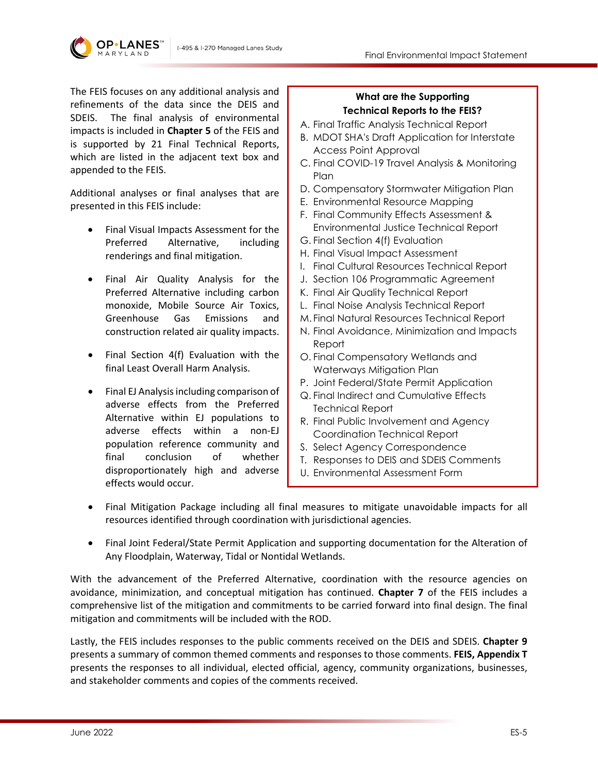

The FEIS focuses on any additional analysis and refinements of the data since the DEIS and SDEIS. The final analysis of environmental impacts is included in **Chapter 5** of the FEIS and is supported by 21 Final Technical Reports, which are listed in the adjacent text box and appended to the FEIS.

I-495 & I-270 Managed Lanes Study

Additional analyses or final analyses that are presented in this FEIS include:

- Final Visual Impacts Assessment for the Preferred Alternative, including renderings and final mitigation.
- Final Air Quality Analysis for the Preferred Alternative including carbon monoxide, Mobile Source Air Toxics, Greenhouse Gas Emissions and construction related air quality impacts.
- Final Section 4(f) Evaluation with the final Least Overall Harm Analysis.
- Final EJ Analysis including comparison of adverse effects from the Preferred Alternative within EJ populations to adverse effects within a non-EJ population reference community and final conclusion of whether disproportionately high and adverse effects would occur.

#### **What are the Supporting Technical Reports to the FEIS?**

- A. Final Traffic Analysis Technical Report
- B. MDOT SHA's Draft Application for Interstate Access Point Approval
- C. Final COVID-19 Travel Analysis & Monitoring Plan
- D. Compensatory Stormwater Mitigation Plan
- E. Environmental Resource Mapping
- F. Final Community Effects Assessment & Environmental Justice Technical Report
- G. Final Section 4(f) Evaluation
- H. Final Visual Impact Assessment
- I. Final Cultural Resources Technical Report
- J. Section 106 Programmatic Agreement
- K. Final Air Quality Technical Report
- L. Final Noise Analysis Technical Report
- M. Final Natural Resources Technical Report
- N. Final Avoidance, Minimization and Impacts Report
- O. Final Compensatory Wetlands and Waterways Mitigation Plan
- P. Joint Federal/State Permit Application
- Q. Final Indirect and Cumulative Effects Technical Report
- R. Final Public Involvement and Agency Coordination Technical Report
- S. Select Agency Correspondence
- T. Responses to DEIS and SDEIS Comments
- U. Environmental Assessment Form
- Final Mitigation Package including all final measures to mitigate unavoidable impacts for all resources identified through coordination with jurisdictional agencies.
- Final Joint Federal/State Permit Application and supporting documentation for the Alteration of Any Floodplain, Waterway, Tidal or Nontidal Wetlands.

With the advancement of the Preferred Alternative, coordination with the resource agencies on avoidance, minimization, and conceptual mitigation has continued. **Chapter 7** of the FEIS includes a comprehensive list of the mitigation and commitments to be carried forward into final design. The final mitigation and commitments will be included with the ROD.

Lastly, the FEIS includes responses to the public comments received on the DEIS and SDEIS. **Chapter 9** presents a summary of common themed comments and responses to those comments. **FEIS, Appendix T** presents the responses to all individual, elected official, agency, community organizations, businesses, and stakeholder comments and copies of the comments received.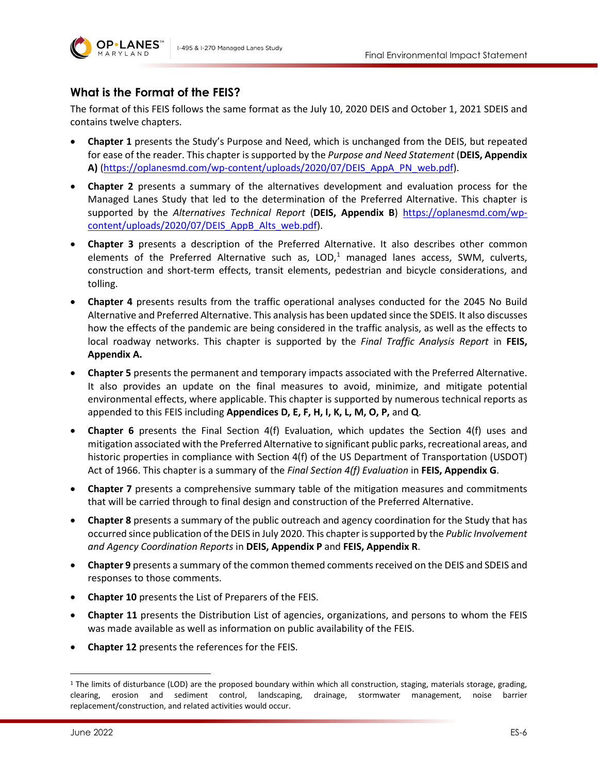



### **What is the Format of the FEIS?**

The format of this FEIS follows the same format as the July 10, 2020 DEIS and October 1, 2021 SDEIS and contains twelve chapters.

- **Chapter 1** presents the Study's Purpose and Need, which is unchanged from the DEIS, but repeated for ease of the reader. This chapter is supported by the *Purpose and Need Statement* (**DEIS, Appendix A)** [\(https://oplanesmd.com/wp-content/uploads/2020/07/DEIS\\_AppA\\_PN\\_web.pdf\)](https://oplanesmd.com/wp-content/uploads/2020/07/DEIS_AppA_PN_web.pdf).
- **Chapter 2** presents a summary of the alternatives development and evaluation process for the Managed Lanes Study that led to the determination of the Preferred Alternative. This chapter is supported by the *Alternatives Technical Report* (**DEIS, Appendix B**) [https://oplanesmd.com/wp](https://oplanesmd.com/wp-content/uploads/2020/07/DEIS_AppB_Alts_web.pdf)content/uploads/2020/07/DEIS AppB Alts web.pdf).
- **Chapter 3** presents a description of the Preferred Alternative. It also describes other common elements of the Preferred Alternative such as,  $LOD<sub>i</sub><sup>1</sup>$  $LOD<sub>i</sub><sup>1</sup>$  $LOD<sub>i</sub><sup>1</sup>$  managed lanes access, SWM, culverts, construction and short-term effects, transit elements, pedestrian and bicycle considerations, and tolling.
- **Chapter 4** presents results from the traffic operational analyses conducted for the 2045 No Build Alternative and Preferred Alternative. This analysis has been updated since the SDEIS. It also discusses how the effects of the pandemic are being considered in the traffic analysis, as well as the effects to local roadway networks. This chapter is supported by the *Final Traffic Analysis Report* in **FEIS, Appendix A.**
- **Chapter 5** presents the permanent and temporary impacts associated with the Preferred Alternative. It also provides an update on the final measures to avoid, minimize, and mitigate potential environmental effects, where applicable. This chapter is supported by numerous technical reports as appended to this FEIS including **Appendices D, E, F, H, I, K, L, M, O, P,** and **Q**.
- **Chapter 6** presents the Final Section 4(f) Evaluation, which updates the Section 4(f) uses and mitigation associated with the Preferred Alternative to significant public parks, recreational areas, and historic properties in compliance with Section 4(f) of the US Department of Transportation (USDOT) Act of 1966. This chapter is a summary of the *Final Section 4(f) Evaluation* in **FEIS, Appendix G**.
- **Chapter 7** presents a comprehensive summary table of the mitigation measures and commitments that will be carried through to final design and construction of the Preferred Alternative.
- **Chapter 8** presents a summary of the public outreach and agency coordination for the Study that has occurred since publication of the DEIS in July 2020. This chapter is supported by the *Public Involvement and Agency Coordination Reports* in **DEIS, Appendix P** and **FEIS, Appendix R**.
- **Chapter 9** presents a summary of the common themed comments received on the DEIS and SDEIS and responses to those comments.
- **Chapter 10** presents the List of Preparers of the FEIS.
- **Chapter 11** presents the Distribution List of agencies, organizations, and persons to whom the FEIS was made available as well as information on public availability of the FEIS.
- **Chapter 12** presents the references for the FEIS.

<span id="page-5-0"></span><sup>1</sup> The limits of disturbance (LOD) are the proposed boundary within which all construction, staging, materials storage, grading, clearing, erosion and sediment control, landscaping, drainage, stormwater management, noise barrier replacement/construction, and related activities would occur.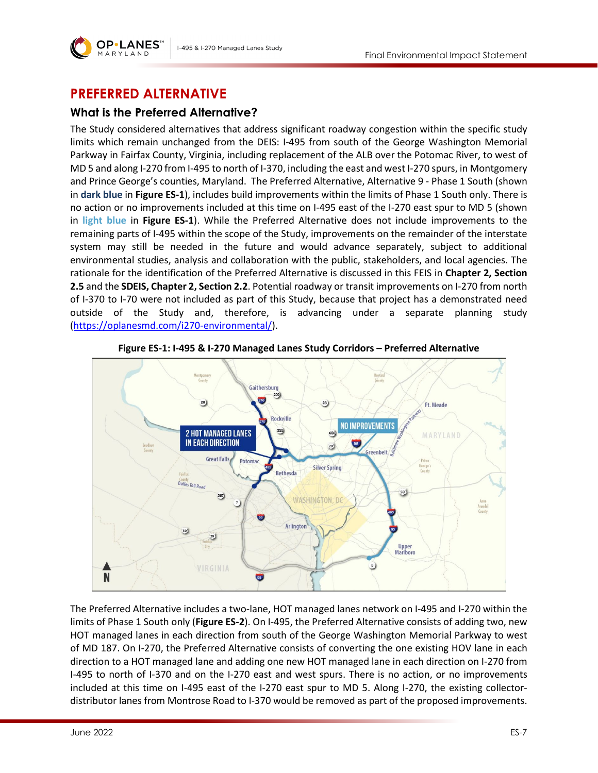

# **PREFERRED ALTERNATIVE**

# **What is the Preferred Alternative?**

The Study considered alternatives that address significant roadway congestion within the specific study limits which remain unchanged from the DEIS: I-495 from south of the George Washington Memorial Parkway in Fairfax County, Virginia, including replacement of the ALB over the Potomac River, to west of MD 5 and along I-270 from I-495 to north of I-370, including the east and west I-270 spurs, in Montgomery and Prince George's counties, Maryland. The Preferred Alternative, Alternative 9 - Phase 1 South (shown in **dark blue** in **[Figure ES-1](#page-6-0)**), includes build improvements within the limits of Phase 1 South only. There is no action or no improvements included at this time on I-495 east of the I-270 east spur to MD 5 (shown in **light blue** in **[Figure ES-1](#page-6-0)**). While the Preferred Alternative does not include improvements to the remaining parts of I-495 within the scope of the Study, improvements on the remainder of the interstate system may still be needed in the future and would advance separately, subject to additional environmental studies, analysis and collaboration with the public, stakeholders, and local agencies. The rationale for the identification of the Preferred Alternative is discussed in this FEIS in **Chapter 2, Section 2.5** and the **SDEIS, Chapter 2, Section 2.2**. Potential roadway or transit improvements on I-270 from north of I-370 to I-70 were not included as part of this Study, because that project has a demonstrated need outside of the Study and, therefore, is advancing under a separate planning study [\(https://oplanesmd.com/i270-environmental/\)](https://oplanesmd.com/i270-environmental/).

<span id="page-6-0"></span>

**Figure ES-1: I-495 & I-270 Managed Lanes Study Corridors – Preferred Alternative**

The Preferred Alternative includes a two-lane, HOT managed lanes network on I-495 and I-270 within the limits of Phase 1 South only (**[Figure ES-2](#page-7-0)**). On I-495, the Preferred Alternative consists of adding two, new HOT managed lanes in each direction from south of the George Washington Memorial Parkway to west of MD 187. On I-270, the Preferred Alternative consists of converting the one existing HOV lane in each direction to a HOT managed lane and adding one new HOT managed lane in each direction on I-270 from I-495 to north of I-370 and on the I-270 east and west spurs. There is no action, or no improvements included at this time on I-495 east of the I-270 east spur to MD 5. Along I-270, the existing collectordistributor lanes from Montrose Road to I-370 would be removed as part of the proposed improvements.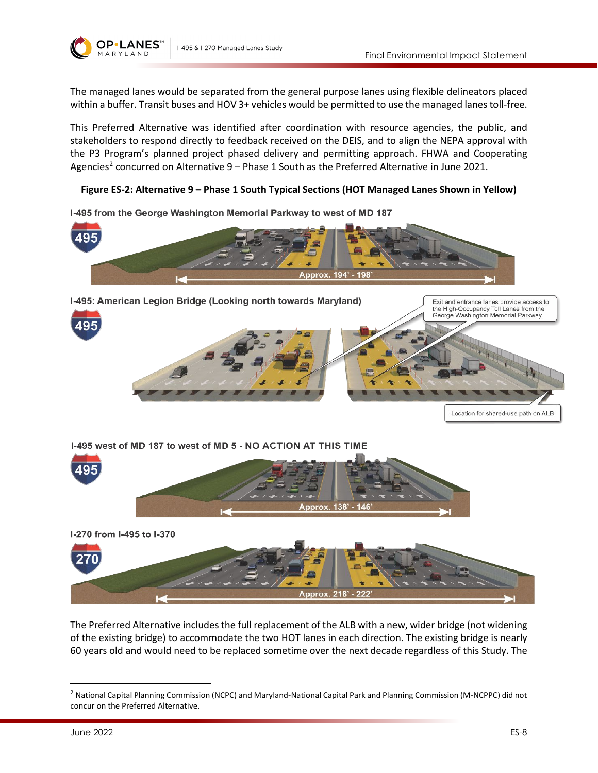

The managed lanes would be separated from the general purpose lanes using flexible delineators placed within a buffer. Transit buses and HOV 3+ vehicles would be permitted to use the managed lanes toll-free.

This Preferred Alternative was identified after coordination with resource agencies, the public, and stakeholders to respond directly to feedback received on the DEIS, and to align the NEPA approval with the P3 Program's planned project phased delivery and permitting approach. FHWA and Cooperating Agencies<sup>[2](#page-7-1)</sup> concurred on Alternative  $9$  – Phase 1 South as the Preferred Alternative in June 2021.

#### <span id="page-7-0"></span>**Figure ES-2: Alternative 9 – Phase 1 South Typical Sections (HOT Managed Lanes Shown in Yellow)**



I-495 from the George Washington Memorial Parkway to west of MD 187

I-495 & I-270 Managed Lanes Study

The Preferred Alternative includes the full replacement of the ALB with a new, wider bridge (not widening of the existing bridge) to accommodate the two HOT lanes in each direction. The existing bridge is nearly 60 years old and would need to be replaced sometime over the next decade regardless of this Study. The

Approx. 218' - 222

<span id="page-7-1"></span><sup>2</sup> National Capital Planning Commission (NCPC) and Maryland-National Capital Park and Planning Commission (M-NCPPC) did not concur on the Preferred Alternative.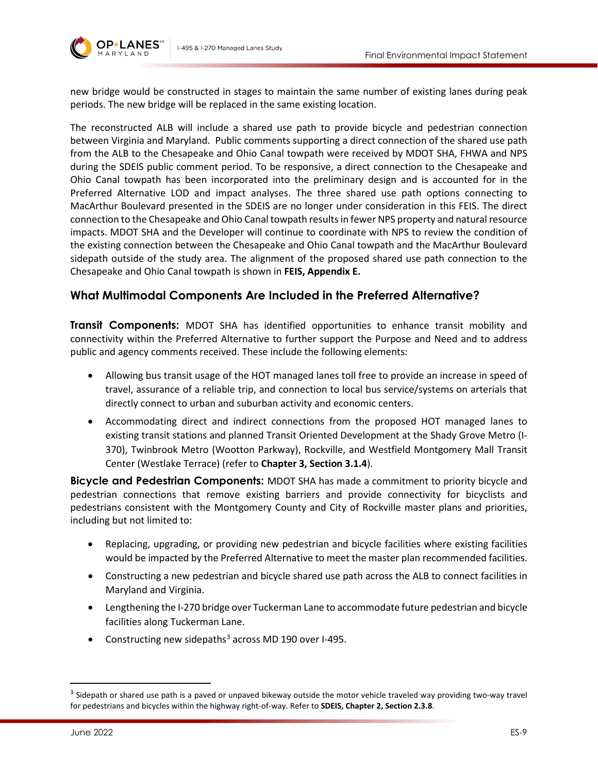



new bridge would be constructed in stages to maintain the same number of existing lanes during peak periods. The new bridge will be replaced in the same existing location.

The reconstructed ALB will include a shared use path to provide bicycle and pedestrian connection between Virginia and Maryland. Public comments supporting a direct connection of the shared use path from the ALB to the Chesapeake and Ohio Canal towpath were received by MDOT SHA, FHWA and NPS during the SDEIS public comment period. To be responsive, a direct connection to the Chesapeake and Ohio Canal towpath has been incorporated into the preliminary design and is accounted for in the Preferred Alternative LOD and impact analyses. The three shared use path options connecting to MacArthur Boulevard presented in the SDEIS are no longer under consideration in this FEIS. The direct connection to the Chesapeake and Ohio Canal towpath results in fewer NPS property and natural resource impacts. MDOT SHA and the Developer will continue to coordinate with NPS to review the condition of the existing connection between the Chesapeake and Ohio Canal towpath and the MacArthur Boulevard sidepath outside of the study area. The alignment of the proposed shared use path connection to the Chesapeake and Ohio Canal towpath is shown in **FEIS, Appendix E.**

#### **What Multimodal Components Are Included in the Preferred Alternative?**

**Transit Components:** MDOT SHA has identified opportunities to enhance transit mobility and connectivity within the Preferred Alternative to further support the Purpose and Need and to address public and agency comments received. These include the following elements:

- Allowing bus transit usage of the HOT managed lanes toll free to provide an increase in speed of travel, assurance of a reliable trip, and connection to local bus service/systems on arterials that directly connect to urban and suburban activity and economic centers.
- Accommodating direct and indirect connections from the proposed HOT managed lanes to existing transit stations and planned Transit Oriented Development at the Shady Grove Metro (I-370), Twinbrook Metro (Wootton Parkway), Rockville, and Westfield Montgomery Mall Transit Center (Westlake Terrace) (refer to **Chapter 3, Section 3.1.4**).

**Bicycle and Pedestrian Components:** MDOT SHA has made a commitment to priority bicycle and pedestrian connections that remove existing barriers and provide connectivity for bicyclists and pedestrians consistent with the Montgomery County and City of Rockville master plans and priorities, including but not limited to:

- Replacing, upgrading, or providing new pedestrian and bicycle facilities where existing facilities would be impacted by the Preferred Alternative to meet the master plan recommended facilities.
- Constructing a new pedestrian and bicycle shared use path across the ALB to connect facilities in Maryland and Virginia.
- Lengthening the I-270 bridge over Tuckerman Lane to accommodate future pedestrian and bicycle facilities along Tuckerman Lane.
- Constructing new sidepaths<sup>[3](#page-8-0)</sup> across MD 190 over I-495.

<span id="page-8-0"></span><sup>&</sup>lt;sup>3</sup> Sidepath or shared use path is a paved or unpaved bikeway outside the motor vehicle traveled way providing two-way travel for pedestrians and bicycles within the highway right-of-way. Refer to **SDEIS, Chapter 2, Section 2.3.8**.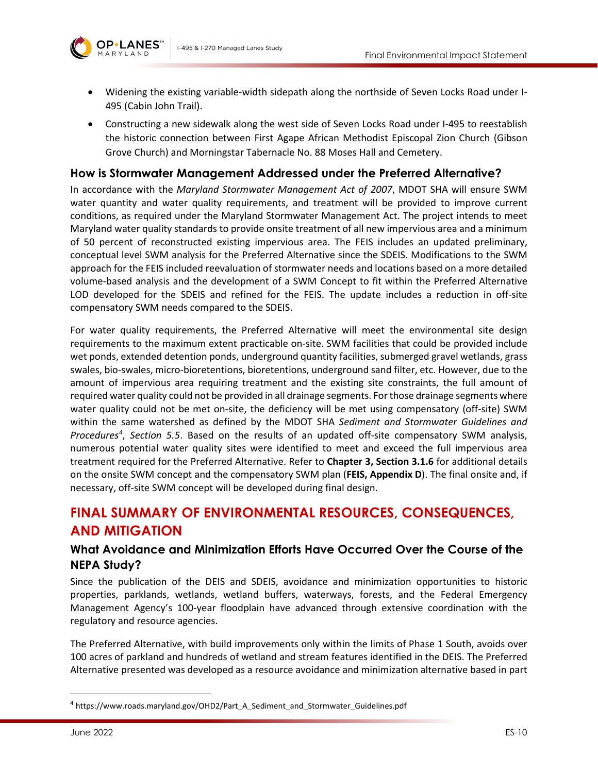



- Widening the existing variable-width sidepath along the northside of Seven Locks Road under I-495 (Cabin John Trail).
- Constructing a new sidewalk along the west side of Seven Locks Road under I-495 to reestablish the historic connection between First Agape African Methodist Episcopal Zion Church (Gibson Grove Church) and Morningstar Tabernacle No. 88 Moses Hall and Cemetery.

#### **How is Stormwater Management Addressed under the Preferred Alternative?**

In accordance with the *Maryland Stormwater Management Act of 2007*, MDOT SHA will ensure SWM water quantity and water quality requirements, and treatment will be provided to improve current conditions, as required under the Maryland Stormwater Management Act. The project intends to meet Maryland water quality standards to provide onsite treatment of all new impervious area and a minimum of 50 percent of reconstructed existing impervious area. The FEIS includes an updated preliminary, conceptual level SWM analysis for the Preferred Alternative since the SDEIS. Modifications to the SWM approach for the FEIS included reevaluation of stormwater needs and locations based on a more detailed volume-based analysis and the development of a SWM Concept to fit within the Preferred Alternative LOD developed for the SDEIS and refined for the FEIS. The update includes a reduction in off-site compensatory SWM needs compared to the SDEIS.

For water quality requirements, the Preferred Alternative will meet the environmental site design requirements to the maximum extent practicable on-site. SWM facilities that could be provided include wet ponds, extended detention ponds, underground quantity facilities, submerged gravel wetlands, grass swales, bio-swales, micro-bioretentions, bioretentions, underground sand filter, etc. However, due to the amount of impervious area requiring treatment and the existing site constraints, the full amount of required water quality could not be provided in all drainage segments. For those drainage segments where water quality could not be met on-site, the deficiency will be met using compensatory (off-site) SWM within the same watershed as defined by the MDOT SHA *Sediment and Stormwater Guidelines and Procedures[4](#page-9-0)* , *Section 5.5*. Based on the results of an updated off-site compensatory SWM analysis, numerous potential water quality sites were identified to meet and exceed the full impervious area treatment required for the Preferred Alternative. Refer to **Chapter 3, Section 3.1.6** for additional details on the onsite SWM concept and the compensatory SWM plan (**FEIS, Appendix D**). The final onsite and, if necessary, off-site SWM concept will be developed during final design.

# **FINAL SUMMARY OF ENVIRONMENTAL RESOURCES, CONSEQUENCES, AND MITIGATION**

### **What Avoidance and Minimization Efforts Have Occurred Over the Course of the NEPA Study?**

Since the publication of the DEIS and SDEIS, avoidance and minimization opportunities to historic properties, parklands, wetlands, wetland buffers, waterways, forests, and the Federal Emergency Management Agency's 100-year floodplain have advanced through extensive coordination with the regulatory and resource agencies.

The Preferred Alternative, with build improvements only within the limits of Phase 1 South, avoids over 100 acres of parkland and hundreds of wetland and stream features identified in the DEIS. The Preferred Alternative presented was developed as a resource avoidance and minimization alternative based in part

<span id="page-9-0"></span><sup>4</sup> https://www.roads.maryland.gov/OHD2/Part\_A\_Sediment\_and\_Stormwater\_Guidelines.pdf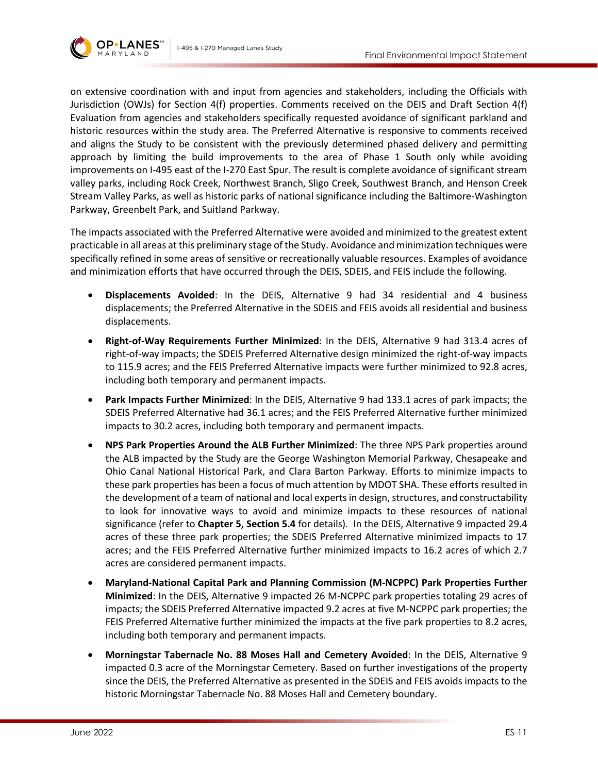



on extensive coordination with and input from agencies and stakeholders, including the Officials with Jurisdiction (OWJs) for Section 4(f) properties. Comments received on the DEIS and Draft Section 4(f) Evaluation from agencies and stakeholders specifically requested avoidance of significant parkland and historic resources within the study area. The Preferred Alternative is responsive to comments received and aligns the Study to be consistent with the previously determined phased delivery and permitting approach by limiting the build improvements to the area of Phase 1 South only while avoiding improvements on I-495 east of the I-270 East Spur. The result is complete avoidance of significant stream valley parks, including Rock Creek, Northwest Branch, Sligo Creek, Southwest Branch, and Henson Creek Stream Valley Parks, as well as historic parks of national significance including the Baltimore-Washington Parkway, Greenbelt Park, and Suitland Parkway.

The impacts associated with the Preferred Alternative were avoided and minimized to the greatest extent practicable in all areas at this preliminary stage of the Study. Avoidance and minimization techniques were specifically refined in some areas of sensitive or recreationally valuable resources. Examples of avoidance and minimization efforts that have occurred through the DEIS, SDEIS, and FEIS include the following.

- **Displacements Avoided**: In the DEIS, Alternative 9 had 34 residential and 4 business displacements; the Preferred Alternative in the SDEIS and FEIS avoids all residential and business displacements.
- **Right-of-Way Requirements Further Minimized**: In the DEIS, Alternative 9 had 313.4 acres of right-of-way impacts; the SDEIS Preferred Alternative design minimized the right-of-way impacts to 115.9 acres; and the FEIS Preferred Alternative impacts were further minimized to 92.8 acres, including both temporary and permanent impacts.
- **Park Impacts Further Minimized**: In the DEIS, Alternative 9 had 133.1 acres of park impacts; the SDEIS Preferred Alternative had 36.1 acres; and the FEIS Preferred Alternative further minimized impacts to 30.2 acres, including both temporary and permanent impacts.
- **NPS Park Properties Around the ALB Further Minimized**: The three NPS Park properties around the ALB impacted by the Study are the George Washington Memorial Parkway, Chesapeake and Ohio Canal National Historical Park, and Clara Barton Parkway. Efforts to minimize impacts to these park properties has been a focus of much attention by MDOT SHA. These efforts resulted in the development of a team of national and local experts in design, structures, and constructability to look for innovative ways to avoid and minimize impacts to these resources of national significance (refer to **Chapter 5, Section 5.4** for details). In the DEIS, Alternative 9 impacted 29.4 acres of these three park properties; the SDEIS Preferred Alternative minimized impacts to 17 acres; and the FEIS Preferred Alternative further minimized impacts to 16.2 acres of which 2.7 acres are considered permanent impacts.
- **Maryland-National Capital Park and Planning Commission (M-NCPPC) Park Properties Further Minimized**: In the DEIS, Alternative 9 impacted 26 M-NCPPC park properties totaling 29 acres of impacts; the SDEIS Preferred Alternative impacted 9.2 acres at five M-NCPPC park properties; the FEIS Preferred Alternative further minimized the impacts at the five park properties to 8.2 acres, including both temporary and permanent impacts.
- **Morningstar Tabernacle No. 88 Moses Hall and Cemetery Avoided**: In the DEIS, Alternative 9 impacted 0.3 acre of the Morningstar Cemetery. Based on further investigations of the property since the DEIS, the Preferred Alternative as presented in the SDEIS and FEIS avoids impacts to the historic Morningstar Tabernacle No. 88 Moses Hall and Cemetery boundary.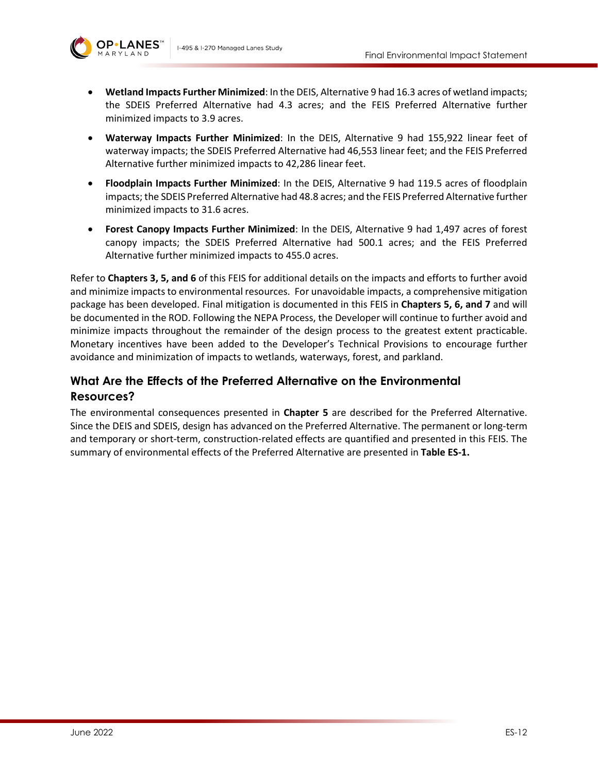

- **Wetland Impacts Further Minimized**: In the DEIS, Alternative 9 had 16.3 acres of wetland impacts; the SDEIS Preferred Alternative had 4.3 acres; and the FEIS Preferred Alternative further minimized impacts to 3.9 acres.
- **Waterway Impacts Further Minimized**: In the DEIS, Alternative 9 had 155,922 linear feet of waterway impacts; the SDEIS Preferred Alternative had 46,553 linear feet; and the FEIS Preferred Alternative further minimized impacts to 42,286 linear feet.
- **Floodplain Impacts Further Minimized**: In the DEIS, Alternative 9 had 119.5 acres of floodplain impacts; the SDEIS Preferred Alternative had 48.8 acres; and the FEIS Preferred Alternative further minimized impacts to 31.6 acres.
- **Forest Canopy Impacts Further Minimized**: In the DEIS, Alternative 9 had 1,497 acres of forest canopy impacts; the SDEIS Preferred Alternative had 500.1 acres; and the FEIS Preferred Alternative further minimized impacts to 455.0 acres.

Refer to **Chapters 3, 5, and 6** of this FEIS for additional details on the impacts and efforts to further avoid and minimize impacts to environmental resources. For unavoidable impacts, a comprehensive mitigation package has been developed. Final mitigation is documented in this FEIS in **Chapters 5, 6, and 7** and will be documented in the ROD. Following the NEPA Process, the Developer will continue to further avoid and minimize impacts throughout the remainder of the design process to the greatest extent practicable. Monetary incentives have been added to the Developer's Technical Provisions to encourage further avoidance and minimization of impacts to wetlands, waterways, forest, and parkland.

# **What Are the Effects of the Preferred Alternative on the Environmental Resources?**

The environmental consequences presented in **Chapter 5** are described for the Preferred Alternative. Since the DEIS and SDEIS, design has advanced on the Preferred Alternative. The permanent or long-term and temporary or short-term, construction-related effects are quantified and presented in this FEIS. The summary of environmental effects of the Preferred Alternative are presented in **[Table ES-1.](#page-12-0)**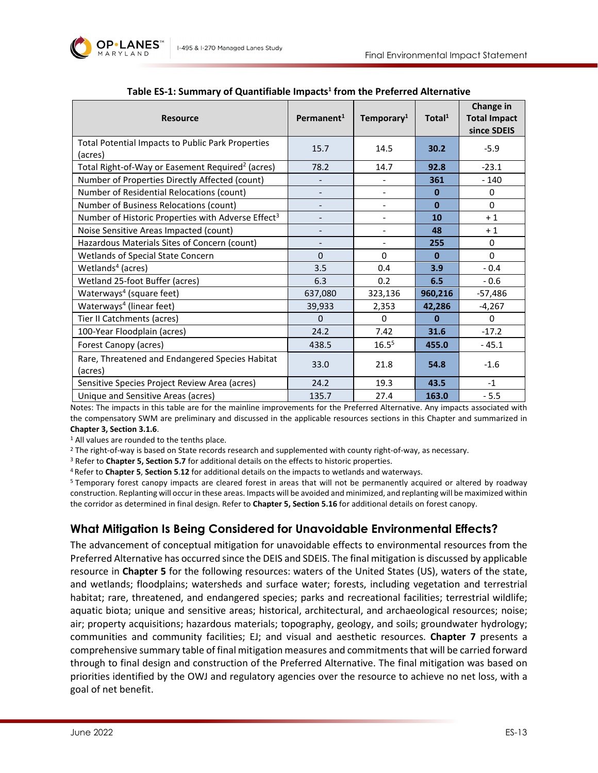

<span id="page-12-0"></span>

| <b>Resource</b>                                                     | Permanent <sup>1</sup> | Temporary <sup>1</sup> | Total $1$ | Change in<br><b>Total Impact</b><br>since SDEIS |  |
|---------------------------------------------------------------------|------------------------|------------------------|-----------|-------------------------------------------------|--|
| <b>Total Potential Impacts to Public Park Properties</b><br>(acres) | 15.7                   | 14.5                   | 30.2      | $-5.9$                                          |  |
| Total Right-of-Way or Easement Required <sup>2</sup> (acres)        | 78.2                   | 14.7                   | 92.8      | $-23.1$                                         |  |
| Number of Properties Directly Affected (count)                      |                        |                        | 361       | $-140$                                          |  |
| Number of Residential Relocations (count)                           |                        |                        | $\bf{0}$  | 0                                               |  |
| Number of Business Relocations (count)                              |                        |                        | $\bf{0}$  | $\Omega$                                        |  |
| Number of Historic Properties with Adverse Effect <sup>3</sup>      |                        |                        | 10        | $+1$                                            |  |
| Noise Sensitive Areas Impacted (count)                              |                        |                        | 48        | $+1$                                            |  |
| Hazardous Materials Sites of Concern (count)                        |                        |                        | 255       | $\Omega$                                        |  |
| Wetlands of Special State Concern                                   | $\Omega$               | $\mathbf{0}$           | $\bf{0}$  | $\Omega$                                        |  |
| Wetlands <sup>4</sup> (acres)                                       | 3.5                    | 0.4                    | 3.9       | $-0.4$                                          |  |
| Wetland 25-foot Buffer (acres)                                      | 6.3                    | 0.2                    | 6.5       | $-0.6$                                          |  |
| Waterways <sup>4</sup> (square feet)                                | 637,080                | 323,136                | 960,216   | $-57,486$                                       |  |
| Waterways <sup>4</sup> (linear feet)                                | 39,933                 | 2,353                  | 42,286    | $-4,267$                                        |  |
| Tier II Catchments (acres)                                          | $\Omega$               | $\Omega$               | $\bf{0}$  | $\Omega$                                        |  |
| 100-Year Floodplain (acres)                                         | 24.2                   | 7.42                   | 31.6      | $-17.2$                                         |  |
| Forest Canopy (acres)                                               | 438.5                  | $16.5^{5}$             | 455.0     | $-45.1$                                         |  |
| Rare, Threatened and Endangered Species Habitat<br>(acres)          | 33.0                   | 21.8                   | 54.8      | $-1.6$                                          |  |
| Sensitive Species Project Review Area (acres)                       | 24.2                   | 19.3                   | 43.5      | $-1$                                            |  |
| Unique and Sensitive Areas (acres)                                  | 135.7                  | 27.4                   | 163.0     | $-5.5$                                          |  |

#### **Table ES-1: Summary of Quantifiable Impacts1 from the Preferred Alternative**

Notes: The impacts in this table are for the mainline improvements for the Preferred Alternative. Any impacts associated with the compensatory SWM are preliminary and discussed in the applicable resources sections in this Chapter and summarized in

**Chapter 3, Section 3.1.6**.<br><sup>1</sup> All values are rounded to the tenths place.

<sup>2</sup> The right-of-way is based on State records research and supplemented with county right-of-way, as necessary.<br><sup>3</sup> Refer to **Chapter 5, Section 5.7** for additional details on the effects to historic properties.

4 Refer to **Chapter 5**, **Section 5**.**12** for additional details on the impacts to wetlands and waterways.

5 Temporary forest canopy impacts are cleared forest in areas that will not be permanently acquired or altered by roadway construction. Replanting will occur in these areas. Impacts will be avoided and minimized, and replanting will be maximized within the corridor as determined in final design. Refer to **Chapter 5, Section 5.16** for additional details on forest canopy.

### **What Mitigation Is Being Considered for Unavoidable Environmental Effects?**

The advancement of conceptual mitigation for unavoidable effects to environmental resources from the Preferred Alternative has occurred since the DEIS and SDEIS. The final mitigation is discussed by applicable resource in **Chapter 5** for the following resources: waters of the United States (US), waters of the state, and wetlands; floodplains; watersheds and surface water; forests, including vegetation and terrestrial habitat; rare, threatened, and endangered species; parks and recreational facilities; terrestrial wildlife; aquatic biota; unique and sensitive areas; historical, architectural, and archaeological resources; noise; air; property acquisitions; hazardous materials; topography, geology, and soils; groundwater hydrology; communities and community facilities; EJ; and visual and aesthetic resources. **Chapter 7** presents a comprehensive summary table of final mitigation measures and commitments that will be carried forward through to final design and construction of the Preferred Alternative. The final mitigation was based on priorities identified by the OWJ and regulatory agencies over the resource to achieve no net loss, with a goal of net benefit.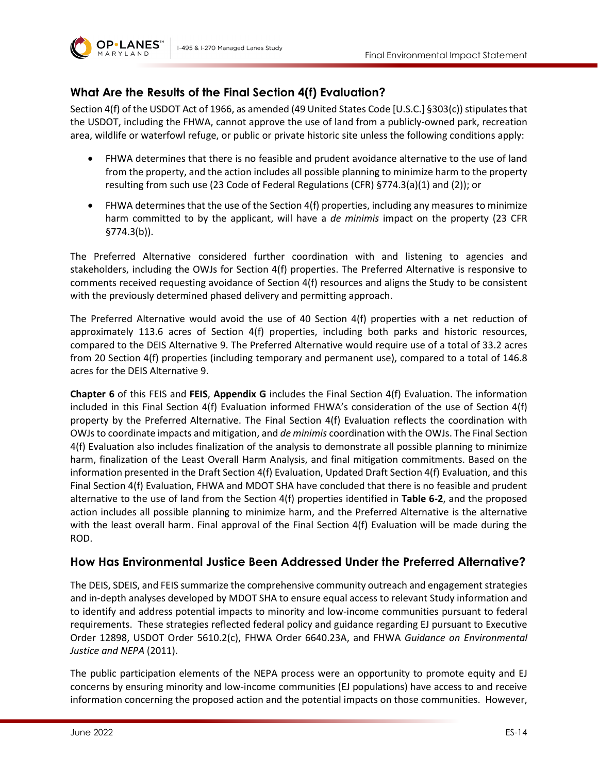



## **What Are the Results of the Final Section 4(f) Evaluation?**

Section 4(f) of the USDOT Act of 1966, as amended (49 United States Code [U.S.C.] §303(c)) stipulates that the USDOT, including the FHWA, cannot approve the use of land from a publicly-owned park, recreation area, wildlife or waterfowl refuge, or public or private historic site unless the following conditions apply:

- FHWA determines that there is no feasible and prudent avoidance alternative to the use of land from the property, and the action includes all possible planning to minimize harm to the property resulting from such use (23 Code of Federal Regulations (CFR) §774.3(a)(1) and (2)); or
- FHWA determines that the use of the Section 4(f) properties, including any measures to minimize harm committed to by the applicant, will have a *de minimis* impact on the property (23 CFR §774.3(b)).

The Preferred Alternative considered further coordination with and listening to agencies and stakeholders, including the OWJs for Section 4(f) properties. The Preferred Alternative is responsive to comments received requesting avoidance of Section 4(f) resources and aligns the Study to be consistent with the previously determined phased delivery and permitting approach.

The Preferred Alternative would avoid the use of 40 Section 4(f) properties with a net reduction of approximately 113.6 acres of Section 4(f) properties, including both parks and historic resources, compared to the DEIS Alternative 9. The Preferred Alternative would require use of a total of 33.2 acres from 20 Section 4(f) properties (including temporary and permanent use), compared to a total of 146.8 acres for the DEIS Alternative 9.

**Chapter 6** of this FEIS and **FEIS**, **Appendix G** includes the Final Section 4(f) Evaluation. The information included in this Final Section 4(f) Evaluation informed FHWA's consideration of the use of Section 4(f) property by the Preferred Alternative. The Final Section 4(f) Evaluation reflects the coordination with OWJs to coordinate impacts and mitigation, and *de minimis* coordination with the OWJs. The Final Section 4(f) Evaluation also includes finalization of the analysis to demonstrate all possible planning to minimize harm, finalization of the Least Overall Harm Analysis, and final mitigation commitments. Based on the information presented in the Draft Section 4(f) Evaluation, Updated Draft Section 4(f) Evaluation, and this Final Section 4(f) Evaluation, FHWA and MDOT SHA have concluded that there is no feasible and prudent alternative to the use of land from the Section 4(f) properties identified in **Table 6-2**, and the proposed action includes all possible planning to minimize harm, and the Preferred Alternative is the alternative with the least overall harm. Final approval of the Final Section 4(f) Evaluation will be made during the ROD.

### **How Has Environmental Justice Been Addressed Under the Preferred Alternative?**

The DEIS, SDEIS, and FEIS summarize the comprehensive community outreach and engagement strategies and in-depth analyses developed by MDOT SHA to ensure equal access to relevant Study information and to identify and address potential impacts to minority and low-income communities pursuant to federal requirements. These strategies reflected federal policy and guidance regarding EJ pursuant to Executive Order 12898, USDOT Order 5610.2(c), FHWA Order 6640.23A, and FHWA *Guidance on Environmental Justice and NEPA* (2011).

The public participation elements of the NEPA process were an opportunity to promote equity and EJ concerns by ensuring minority and low-income communities (EJ populations) have access to and receive information concerning the proposed action and the potential impacts on those communities. However,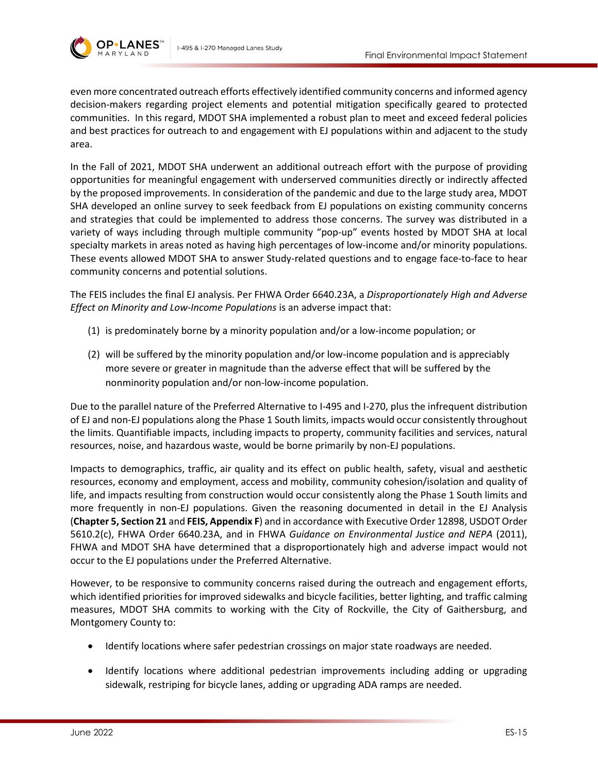

even more concentrated outreach efforts effectively identified community concerns and informed agency decision-makers regarding project elements and potential mitigation specifically geared to protected communities. In this regard, MDOT SHA implemented a robust plan to meet and exceed federal policies and best practices for outreach to and engagement with EJ populations within and adjacent to the study area.

In the Fall of 2021, MDOT SHA underwent an additional outreach effort with the purpose of providing opportunities for meaningful engagement with underserved communities directly or indirectly affected by the proposed improvements. In consideration of the pandemic and due to the large study area, MDOT SHA developed an online survey to seek feedback from EJ populations on existing community concerns and strategies that could be implemented to address those concerns. The survey was distributed in a variety of ways including through multiple community "pop-up" events hosted by MDOT SHA at local specialty markets in areas noted as having high percentages of low-income and/or minority populations. These events allowed MDOT SHA to answer Study-related questions and to engage face-to-face to hear community concerns and potential solutions.

The FEIS includes the final EJ analysis. Per FHWA Order 6640.23A, a *Disproportionately High and Adverse Effect on Minority and Low-Income Populations* is an adverse impact that:

- (1) is predominately borne by a minority population and/or a low-income population; or
- (2) will be suffered by the minority population and/or low-income population and is appreciably more severe or greater in magnitude than the adverse effect that will be suffered by the nonminority population and/or non-low-income population.

Due to the parallel nature of the Preferred Alternative to I-495 and I-270, plus the infrequent distribution of EJ and non-EJ populations along the Phase 1 South limits, impacts would occur consistently throughout the limits. Quantifiable impacts, including impacts to property, community facilities and services, natural resources, noise, and hazardous waste, would be borne primarily by non-EJ populations.

Impacts to demographics, traffic, air quality and its effect on public health, safety, visual and aesthetic resources, economy and employment, access and mobility, community cohesion/isolation and quality of life, and impacts resulting from construction would occur consistently along the Phase 1 South limits and more frequently in non-EJ populations. Given the reasoning documented in detail in the EJ Analysis (**Chapter 5, Section 21** and **FEIS, Appendix F**) and in accordance with Executive Order 12898, USDOT Order 5610.2(c), FHWA Order 6640.23A, and in FHWA *Guidance on Environmental Justice and NEPA* (2011), FHWA and MDOT SHA have determined that a disproportionately high and adverse impact would not occur to the EJ populations under the Preferred Alternative.

However, to be responsive to community concerns raised during the outreach and engagement efforts, which identified priorities for improved sidewalks and bicycle facilities, better lighting, and traffic calming measures, MDOT SHA commits to working with the City of Rockville, the City of Gaithersburg, and Montgomery County to:

- Identify locations where safer pedestrian crossings on major state roadways are needed.
- Identify locations where additional pedestrian improvements including adding or upgrading sidewalk, restriping for bicycle lanes, adding or upgrading ADA ramps are needed.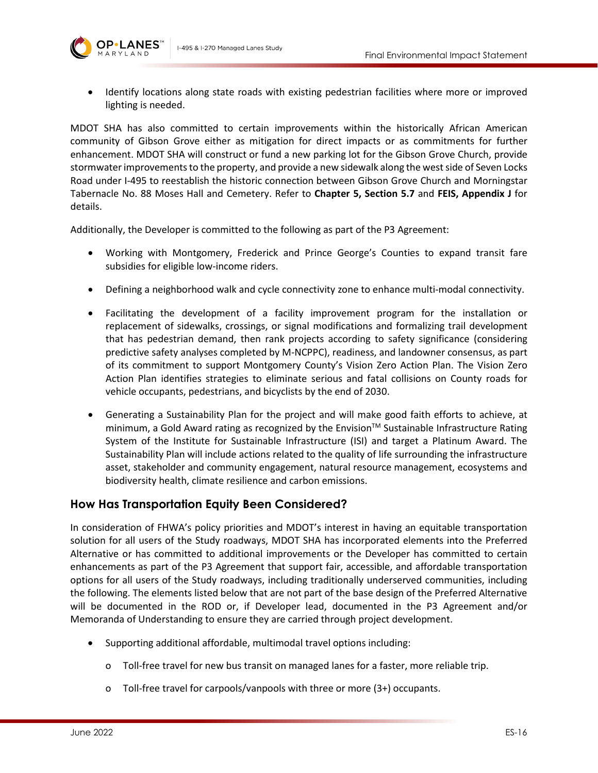



• Identify locations along state roads with existing pedestrian facilities where more or improved lighting is needed.

MDOT SHA has also committed to certain improvements within the historically African American community of Gibson Grove either as mitigation for direct impacts or as commitments for further enhancement. MDOT SHA will construct or fund a new parking lot for the Gibson Grove Church, provide stormwater improvements to the property, and provide a new sidewalk along the west side of Seven Locks Road under I-495 to reestablish the historic connection between Gibson Grove Church and Morningstar Tabernacle No. 88 Moses Hall and Cemetery. Refer to **Chapter 5, Section 5.7** and **FEIS, Appendix J** for details.

Additionally, the Developer is committed to the following as part of the P3 Agreement:

- Working with Montgomery, Frederick and Prince George's Counties to expand transit fare subsidies for eligible low-income riders.
- Defining a neighborhood walk and cycle connectivity zone to enhance multi-modal connectivity.
- Facilitating the development of a facility improvement program for the installation or replacement of sidewalks, crossings, or signal modifications and formalizing trail development that has pedestrian demand, then rank projects according to safety significance (considering predictive safety analyses completed by M-NCPPC), readiness, and landowner consensus, as part of its commitment to support Montgomery County's Vision Zero Action Plan. The Vision Zero Action Plan identifies strategies to eliminate serious and fatal collisions on County roads for vehicle occupants, pedestrians, and bicyclists by the end of 2030.
- Generating a Sustainability Plan for the project and will make good faith efforts to achieve, at minimum, a Gold Award rating as recognized by the Envision™ Sustainable Infrastructure Rating System of the Institute for Sustainable Infrastructure (ISI) and target a Platinum Award. The Sustainability Plan will include actions related to the quality of life surrounding the infrastructure asset, stakeholder and community engagement, natural resource management, ecosystems and biodiversity health, climate resilience and carbon emissions.

#### **How Has Transportation Equity Been Considered?**

In consideration of FHWA's policy priorities and MDOT's interest in having an equitable transportation solution for all users of the Study roadways, MDOT SHA has incorporated elements into the Preferred Alternative or has committed to additional improvements or the Developer has committed to certain enhancements as part of the P3 Agreement that support fair, accessible, and affordable transportation options for all users of the Study roadways, including traditionally underserved communities, including the following. The elements listed below that are not part of the base design of the Preferred Alternative will be documented in the ROD or, if Developer lead, documented in the P3 Agreement and/or Memoranda of Understanding to ensure they are carried through project development.

- Supporting additional affordable, multimodal travel options including:
	- o Toll-free travel for new bus transit on managed lanes for a faster, more reliable trip.
	- o Toll-free travel for carpools/vanpools with three or more (3+) occupants.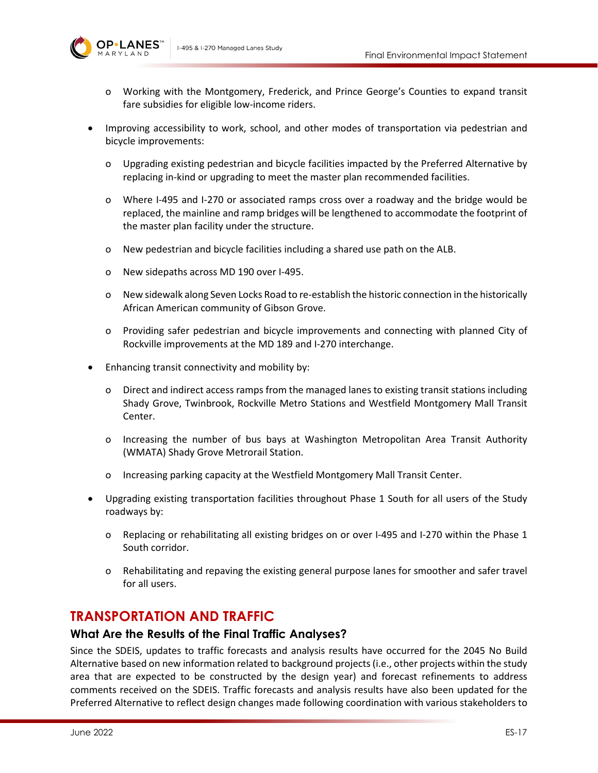

- o Working with the Montgomery, Frederick, and Prince George's Counties to expand transit fare subsidies for eligible low-income riders.
- Improving accessibility to work, school, and other modes of transportation via pedestrian and bicycle improvements:
	- o Upgrading existing pedestrian and bicycle facilities impacted by the Preferred Alternative by replacing in-kind or upgrading to meet the master plan recommended facilities.
	- o Where I-495 and I-270 or associated ramps cross over a roadway and the bridge would be replaced, the mainline and ramp bridges will be lengthened to accommodate the footprint of the master plan facility under the structure.
	- o New pedestrian and bicycle facilities including a shared use path on the ALB.
	- o New sidepaths across MD 190 over I-495.
	- o New sidewalk along Seven Locks Road to re-establish the historic connection in the historically African American community of Gibson Grove.
	- o Providing safer pedestrian and bicycle improvements and connecting with planned City of Rockville improvements at the MD 189 and I-270 interchange.
- Enhancing transit connectivity and mobility by:
	- o Direct and indirect access ramps from the managed lanes to existing transit stations including Shady Grove, Twinbrook, Rockville Metro Stations and Westfield Montgomery Mall Transit Center.
	- o Increasing the number of bus bays at Washington Metropolitan Area Transit Authority (WMATA) Shady Grove Metrorail Station.
	- o Increasing parking capacity at the Westfield Montgomery Mall Transit Center.
- Upgrading existing transportation facilities throughout Phase 1 South for all users of the Study roadways by:
	- o Replacing or rehabilitating all existing bridges on or over I-495 and I-270 within the Phase 1 South corridor.
	- o Rehabilitating and repaving the existing general purpose lanes for smoother and safer travel for all users.

### **TRANSPORTATION AND TRAFFIC**

#### **What Are the Results of the Final Traffic Analyses?**

Since the SDEIS, updates to traffic forecasts and analysis results have occurred for the 2045 No Build Alternative based on new information related to background projects(i.e., other projects within the study area that are expected to be constructed by the design year) and forecast refinements to address comments received on the SDEIS. Traffic forecasts and analysis results have also been updated for the Preferred Alternative to reflect design changes made following coordination with various stakeholders to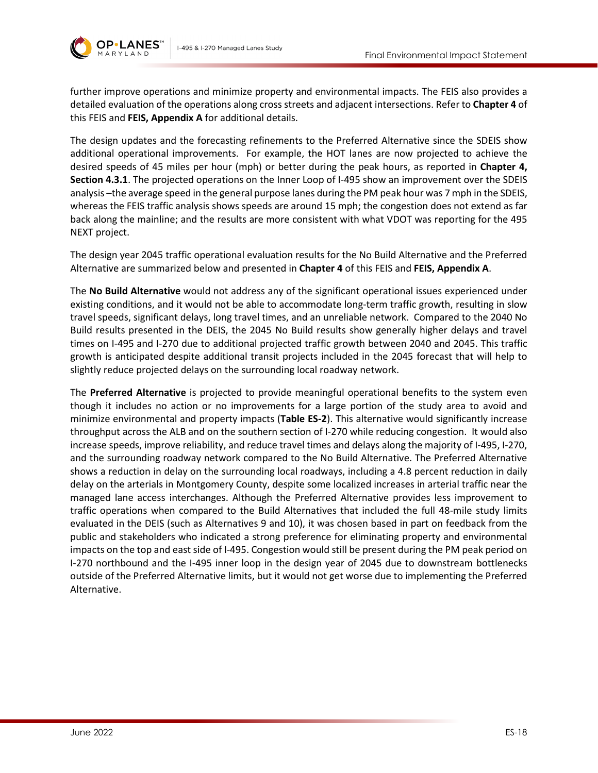



further improve operations and minimize property and environmental impacts. The FEIS also provides a detailed evaluation of the operations along cross streets and adjacent intersections. Refer to **Chapter 4** of this FEIS and **FEIS, Appendix A** for additional details.

The design updates and the forecasting refinements to the Preferred Alternative since the SDEIS show additional operational improvements. For example, the HOT lanes are now projected to achieve the desired speeds of 45 miles per hour (mph) or better during the peak hours, as reported in **Chapter 4, Section 4.3.1**. The projected operations on the Inner Loop of I-495 show an improvement over the SDEIS analysis –the average speed in the general purpose lanes during the PM peak hour was 7 mph in the SDEIS, whereas the FEIS traffic analysis shows speeds are around 15 mph; the congestion does not extend as far back along the mainline; and the results are more consistent with what VDOT was reporting for the 495 NEXT project.

The design year 2045 traffic operational evaluation results for the No Build Alternative and the Preferred Alternative are summarized below and presented in **Chapter 4** of this FEIS and **FEIS, Appendix A**.

The **No Build Alternative** would not address any of the significant operational issues experienced under existing conditions, and it would not be able to accommodate long-term traffic growth, resulting in slow travel speeds, significant delays, long travel times, and an unreliable network. Compared to the 2040 No Build results presented in the DEIS, the 2045 No Build results show generally higher delays and travel times on I-495 and I-270 due to additional projected traffic growth between 2040 and 2045. This traffic growth is anticipated despite additional transit projects included in the 2045 forecast that will help to slightly reduce projected delays on the surrounding local roadway network.

The **Preferred Alternative** is projected to provide meaningful operational benefits to the system even though it includes no action or no improvements for a large portion of the study area to avoid and minimize environmental and property impacts (**[Table ES-2](#page-18-0)**). This alternative would significantly increase throughput across the ALB and on the southern section of I-270 while reducing congestion. It would also increase speeds, improve reliability, and reduce travel times and delays along the majority of I-495, I-270, and the surrounding roadway network compared to the No Build Alternative. The Preferred Alternative shows a reduction in delay on the surrounding local roadways, including a 4.8 percent reduction in daily delay on the arterials in Montgomery County, despite some localized increases in arterial traffic near the managed lane access interchanges. Although the Preferred Alternative provides less improvement to traffic operations when compared to the Build Alternatives that included the full 48-mile study limits evaluated in the DEIS (such as Alternatives 9 and 10), it was chosen based in part on feedback from the public and stakeholders who indicated a strong preference for eliminating property and environmental impacts on the top and east side of I-495. Congestion would still be present during the PM peak period on I-270 northbound and the I-495 inner loop in the design year of 2045 due to downstream bottlenecks outside of the Preferred Alternative limits, but it would not get worse due to implementing the Preferred Alternative.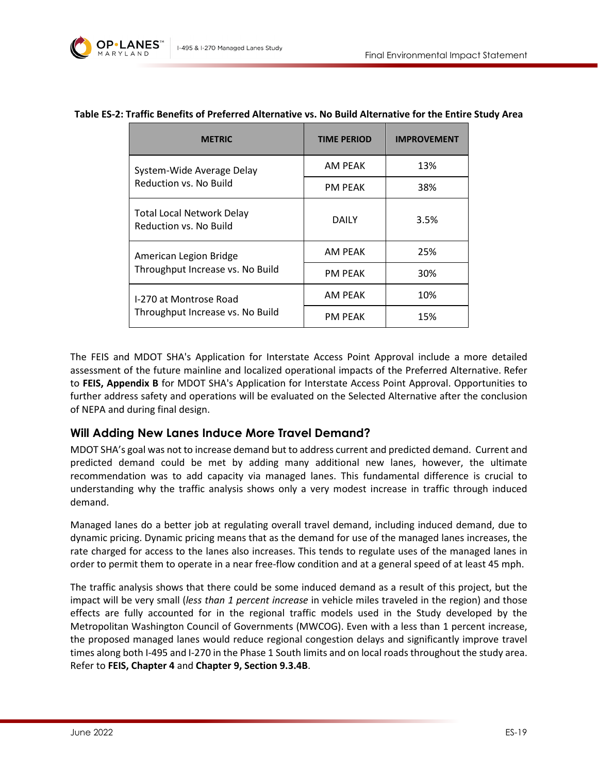

| <b>METRIC</b>                                              | <b>TIME PERIOD</b> | <b>IMPROVEMENT</b> |
|------------------------------------------------------------|--------------------|--------------------|
| System-Wide Average Delay<br>Reduction vs. No Build        | AM PEAK            | 13%                |
|                                                            | <b>PM PEAK</b>     | 38%                |
| <b>Total Local Network Delay</b><br>Reduction vs. No Build | <b>DAILY</b>       | 3.5%               |
| American Legion Bridge<br>Throughput Increase vs. No Build | AM PEAK            | 25%                |
|                                                            | <b>PM PEAK</b>     | 30%                |
| I-270 at Montrose Road<br>Throughput Increase vs. No Build | AM PEAK            | 10%                |
|                                                            | <b>PM PEAK</b>     | 15%                |

#### <span id="page-18-0"></span>**Table ES-2: Traffic Benefits of Preferred Alternative vs. No Build Alternative for the Entire Study Area**

The FEIS and MDOT SHA's Application for Interstate Access Point Approval include a more detailed assessment of the future mainline and localized operational impacts of the Preferred Alternative. Refer to **FEIS, Appendix B** for MDOT SHA's Application for Interstate Access Point Approval. Opportunities to further address safety and operations will be evaluated on the Selected Alternative after the conclusion of NEPA and during final design.

#### **Will Adding New Lanes Induce More Travel Demand?**

MDOT SHA's goal was not to increase demand but to address current and predicted demand. Current and predicted demand could be met by adding many additional new lanes, however, the ultimate recommendation was to add capacity via managed lanes. This fundamental difference is crucial to understanding why the traffic analysis shows only a very modest increase in traffic through induced demand.

Managed lanes do a better job at regulating overall travel demand, including induced demand, due to dynamic pricing. Dynamic pricing means that as the demand for use of the managed lanes increases, the rate charged for access to the lanes also increases. This tends to regulate uses of the managed lanes in order to permit them to operate in a near free-flow condition and at a general speed of at least 45 mph.

The traffic analysis shows that there could be some induced demand as a result of this project, but the impact will be very small (*less than 1 percent increase* in vehicle miles traveled in the region) and those effects are fully accounted for in the regional traffic models used in the Study developed by the Metropolitan Washington Council of Governments (MWCOG). Even with a less than 1 percent increase, the proposed managed lanes would reduce regional congestion delays and significantly improve travel times along both I-495 and I-270 in the Phase 1 South limits and on local roads throughout the study area. Refer to **FEIS, Chapter 4** and **Chapter 9, Section 9.3.4B**.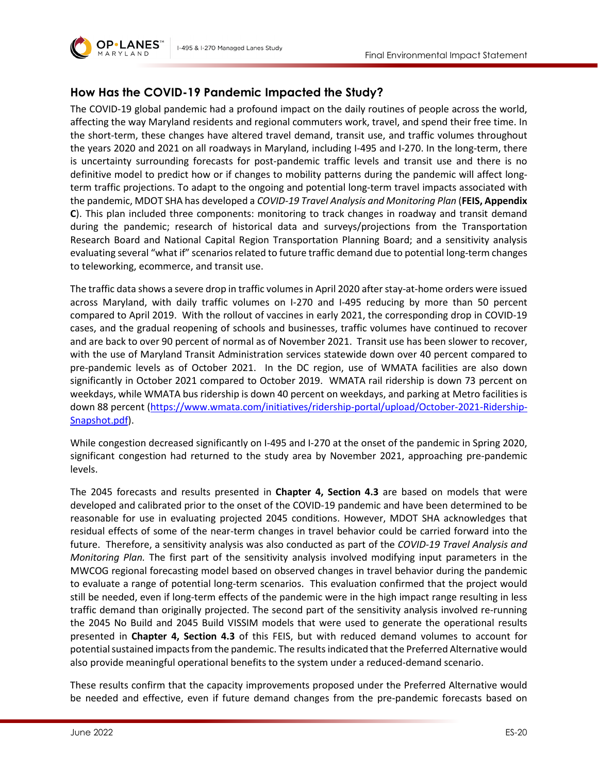

### **How Has the COVID-19 Pandemic Impacted the Study?**

The COVID-19 global pandemic had a profound impact on the daily routines of people across the world, affecting the way Maryland residents and regional commuters work, travel, and spend their free time. In the short-term, these changes have altered travel demand, transit use, and traffic volumes throughout the years 2020 and 2021 on all roadways in Maryland, including I-495 and I-270. In the long-term, there is uncertainty surrounding forecasts for post-pandemic traffic levels and transit use and there is no definitive model to predict how or if changes to mobility patterns during the pandemic will affect longterm traffic projections. To adapt to the ongoing and potential long-term travel impacts associated with the pandemic, MDOT SHA has developed a *COVID-19 Travel Analysis and Monitoring Plan* (**FEIS, Appendix C**). This plan included three components: monitoring to track changes in roadway and transit demand during the pandemic; research of historical data and surveys/projections from the Transportation Research Board and National Capital Region Transportation Planning Board; and a sensitivity analysis evaluating several "what if" scenarios related to future traffic demand due to potential long-term changes to teleworking, ecommerce, and transit use.

The traffic data shows a severe drop in traffic volumes in April 2020 after stay-at-home orders were issued across Maryland, with daily traffic volumes on I-270 and I-495 reducing by more than 50 percent compared to April 2019. With the rollout of vaccines in early 2021, the corresponding drop in COVID-19 cases, and the gradual reopening of schools and businesses, traffic volumes have continued to recover and are back to over 90 percent of normal as of November 2021. Transit use has been slower to recover, with the use of Maryland Transit Administration services statewide down over 40 percent compared to pre-pandemic levels as of October 2021. In the DC region, use of WMATA facilities are also down significantly in October 2021 compared to October 2019. WMATA rail ridership is down 73 percent on weekdays, while WMATA bus ridership is down 40 percent on weekdays, and parking at Metro facilities is down 88 percent [\(https://www.wmata.com/initiatives/ridership-portal/upload/October-2021-Ridership-](https://www.wmata.com/initiatives/ridership-portal/upload/October-2021-Ridership-Snapshot.pdf)[Snapshot.pdf\)](https://www.wmata.com/initiatives/ridership-portal/upload/October-2021-Ridership-Snapshot.pdf).

While congestion decreased significantly on I-495 and I-270 at the onset of the pandemic in Spring 2020, significant congestion had returned to the study area by November 2021, approaching pre-pandemic levels.

The 2045 forecasts and results presented in **Chapter 4, Section 4.3** are based on models that were developed and calibrated prior to the onset of the COVID-19 pandemic and have been determined to be reasonable for use in evaluating projected 2045 conditions. However, MDOT SHA acknowledges that residual effects of some of the near-term changes in travel behavior could be carried forward into the future. Therefore, a sensitivity analysis was also conducted as part of the *COVID-19 Travel Analysis and Monitoring Plan.* The first part of the sensitivity analysis involved modifying input parameters in the MWCOG regional forecasting model based on observed changes in travel behavior during the pandemic to evaluate a range of potential long-term scenarios. This evaluation confirmed that the project would still be needed, even if long-term effects of the pandemic were in the high impact range resulting in less traffic demand than originally projected. The second part of the sensitivity analysis involved re-running the 2045 No Build and 2045 Build VISSIM models that were used to generate the operational results presented in **Chapter 4, Section 4.3** of this FEIS, but with reduced demand volumes to account for potential sustained impacts from the pandemic. The results indicated that the Preferred Alternative would also provide meaningful operational benefits to the system under a reduced-demand scenario.

These results confirm that the capacity improvements proposed under the Preferred Alternative would be needed and effective, even if future demand changes from the pre-pandemic forecasts based on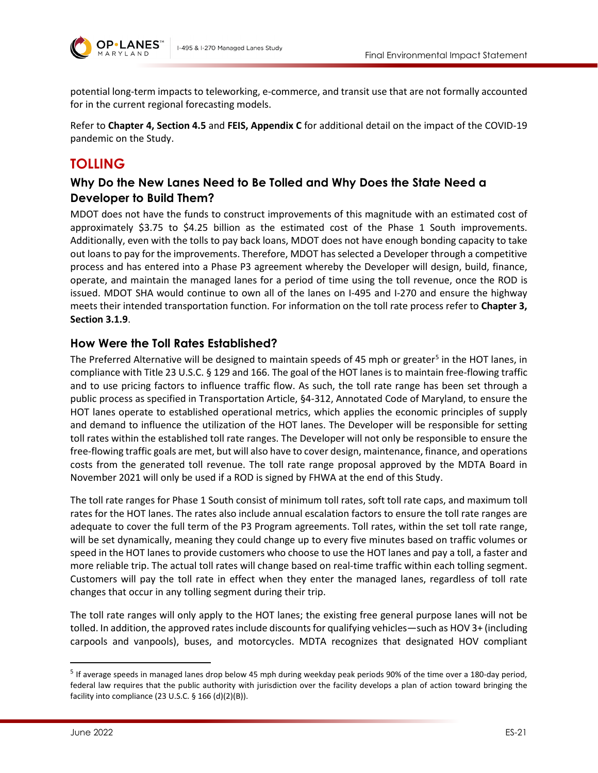

potential long-term impacts to teleworking, e-commerce, and transit use that are not formally accounted for in the current regional forecasting models.

Refer to **Chapter 4, Section 4.5** and **FEIS, Appendix C** for additional detail on the impact of the COVID-19 pandemic on the Study.

# **TOLLING**

# **Why Do the New Lanes Need to Be Tolled and Why Does the State Need a Developer to Build Them?**

MDOT does not have the funds to construct improvements of this magnitude with an estimated cost of approximately \$3.75 to \$4.25 billion as the estimated cost of the Phase 1 South improvements. Additionally, even with the tolls to pay back loans, MDOT does not have enough bonding capacity to take out loans to pay for the improvements. Therefore, MDOT has selected a Developer through a competitive process and has entered into a Phase P3 agreement whereby the Developer will design, build, finance, operate, and maintain the managed lanes for a period of time using the toll revenue, once the ROD is issued. MDOT SHA would continue to own all of the lanes on I-495 and I-270 and ensure the highway meets their intended transportation function. For information on the toll rate process refer to **Chapter 3, Section 3.1.9**.

### **How Were the Toll Rates Established?**

The Preferred Alternative will be designed to maintain speeds of 4[5](#page-20-0) mph or greater<sup>5</sup> in the HOT lanes, in compliance with Title 23 U.S.C. § 129 and 166. The goal of the HOT lanes is to maintain free-flowing traffic and to use pricing factors to influence traffic flow. As such, the toll rate range has been set through a public process as specified in Transportation Article, §4-312, Annotated Code of Maryland, to ensure the HOT lanes operate to established operational metrics, which applies the economic principles of supply and demand to influence the utilization of the HOT lanes. The Developer will be responsible for setting toll rates within the established toll rate ranges. The Developer will not only be responsible to ensure the free-flowing traffic goals are met, but will also have to cover design, maintenance, finance, and operations costs from the generated toll revenue. The toll rate range proposal approved by the MDTA Board in November 2021 will only be used if a ROD is signed by FHWA at the end of this Study.

The toll rate ranges for Phase 1 South consist of minimum toll rates, soft toll rate caps, and maximum toll rates for the HOT lanes. The rates also include annual escalation factors to ensure the toll rate ranges are adequate to cover the full term of the P3 Program agreements. Toll rates, within the set toll rate range, will be set dynamically, meaning they could change up to every five minutes based on traffic volumes or speed in the HOT lanes to provide customers who choose to use the HOT lanes and pay a toll, a faster and more reliable trip. The actual toll rates will change based on real-time traffic within each tolling segment. Customers will pay the toll rate in effect when they enter the managed lanes, regardless of toll rate changes that occur in any tolling segment during their trip.

The toll rate ranges will only apply to the HOT lanes; the existing free general purpose lanes will not be tolled. In addition, the approved rates include discounts for qualifying vehicles—such as HOV 3+ (including carpools and vanpools), buses, and motorcycles. MDTA recognizes that designated HOV compliant

<span id="page-20-0"></span><sup>5</sup> If average speeds in managed lanes drop below 45 mph during weekday peak periods 90% of the time over a 180-day period, federal law requires that the public authority with jurisdiction over the facility develops a plan of action toward bringing the facility into compliance (23 U.S.C.  $\S$  166 (d)(2)(B)).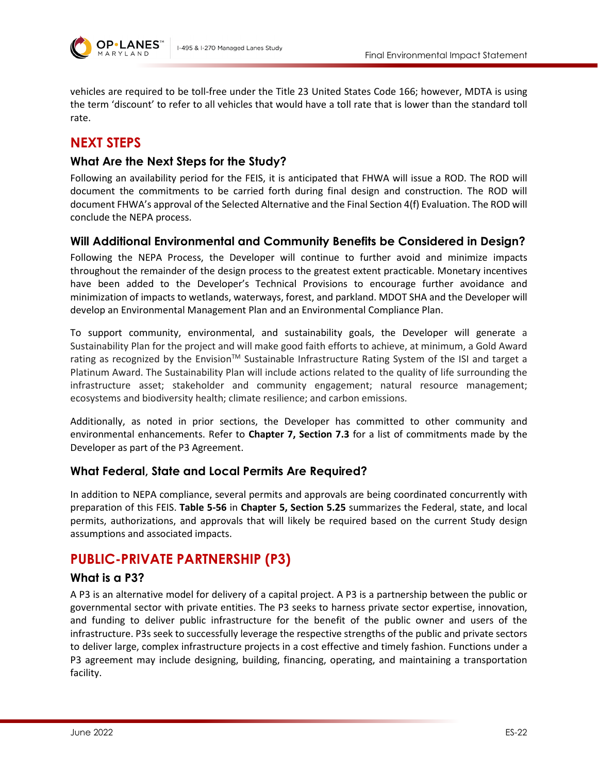

vehicles are required to be toll-free under the Title 23 United States Code 166; however, MDTA is using the term 'discount' to refer to all vehicles that would have a toll rate that is lower than the standard toll rate.

# **NEXT STEPS**

#### **What Are the Next Steps for the Study?**

Following an availability period for the FEIS, it is anticipated that FHWA will issue a ROD. The ROD will document the commitments to be carried forth during final design and construction. The ROD will document FHWA's approval of the Selected Alternative and the Final Section 4(f) Evaluation. The ROD will conclude the NEPA process.

#### **Will Additional Environmental and Community Benefits be Considered in Design?**

Following the NEPA Process, the Developer will continue to further avoid and minimize impacts throughout the remainder of the design process to the greatest extent practicable. Monetary incentives have been added to the Developer's Technical Provisions to encourage further avoidance and minimization of impacts to wetlands, waterways, forest, and parkland. MDOT SHA and the Developer will develop an Environmental Management Plan and an Environmental Compliance Plan.

To support community, environmental, and sustainability goals, the Developer will generate a Sustainability Plan for the project and will make good faith efforts to achieve, at minimum, a Gold Award rating as recognized by the Envision<sup>TM</sup> Sustainable Infrastructure Rating System of the ISI and target a Platinum Award. The Sustainability Plan will include actions related to the quality of life surrounding the infrastructure asset; stakeholder and community engagement; natural resource management; ecosystems and biodiversity health; climate resilience; and carbon emissions.

Additionally, as noted in prior sections, the Developer has committed to other community and environmental enhancements. Refer to **Chapter 7, Section 7.3** for a list of commitments made by the Developer as part of the P3 Agreement.

#### **What Federal, State and Local Permits Are Required?**

In addition to NEPA compliance, several permits and approvals are being coordinated concurrently with preparation of this FEIS. **Table 5-56** in **Chapter 5, Section 5.25** summarizes the Federal, state, and local permits, authorizations, and approvals that will likely be required based on the current Study design assumptions and associated impacts.

# **PUBLIC-PRIVATE PARTNERSHIP (P3)**

#### **What is a P3?**

A P3 is an alternative model for delivery of a capital project. A P3 is a partnership between the public or governmental sector with private entities. The P3 seeks to harness private sector expertise, innovation, and funding to deliver public infrastructure for the benefit of the public owner and users of the infrastructure. P3s seek to successfully leverage the respective strengths of the public and private sectors to deliver large, complex infrastructure projects in a cost effective and timely fashion. Functions under a P3 agreement may include designing, building, financing, operating, and maintaining a transportation facility.